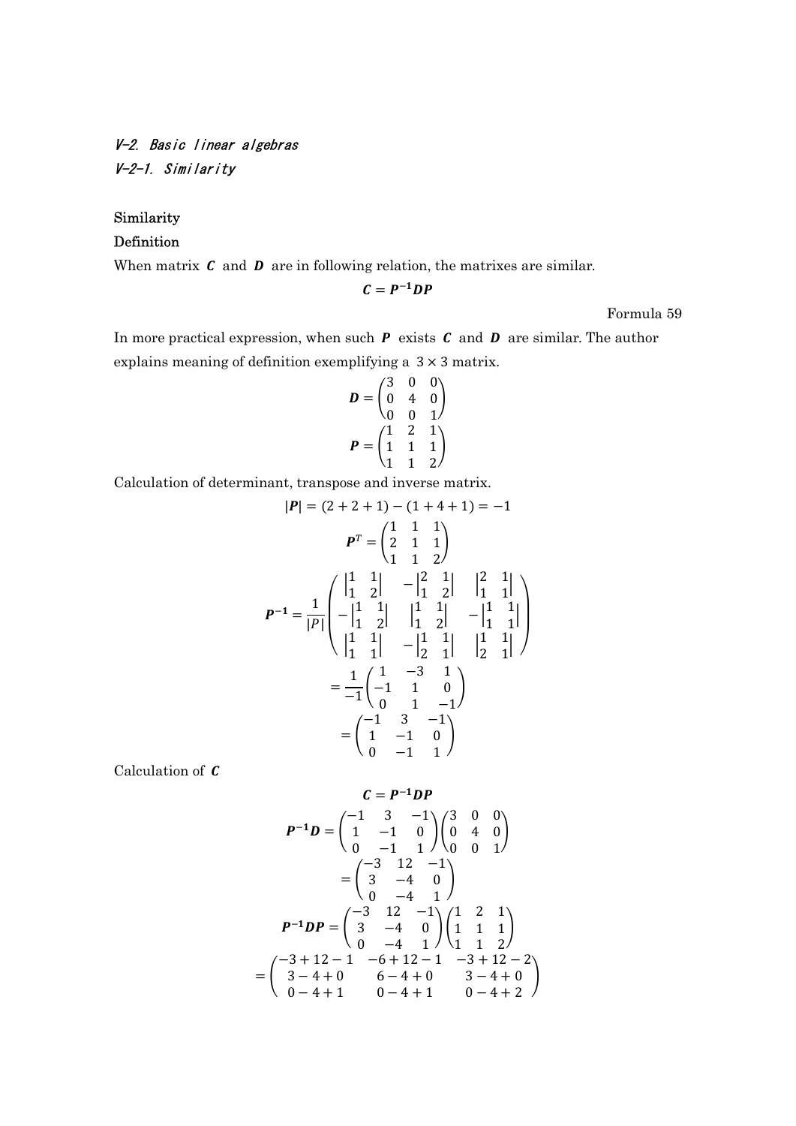V-2. Basic linear algebras V-2-1. Similarity

## Similarity

## Definition

When matrix  $\boldsymbol{c}$  and  $\boldsymbol{D}$  are in following relation, the matrixes are similar.

$$
C=P^{-1}DP
$$

Formula 59

In more practical expression, when such  $P$  exists  $C$  and  $D$  are similar. The author explains meaning of definition exemplifying a 3 × 3 matrix.

$$
D = \begin{pmatrix} 3 & 0 & 0 \\ 0 & 4 & 0 \\ 0 & 0 & 1 \end{pmatrix}
$$

$$
P = \begin{pmatrix} 1 & 2 & 1 \\ 1 & 1 & 1 \\ 1 & 1 & 2 \end{pmatrix}
$$

Calculation of determinant, transpose and inverse matrix.

$$
|\mathbf{P}| = (2 + 2 + 1) - (1 + 4 + 1) = -1
$$
  
\n
$$
\mathbf{P}^T = \begin{pmatrix} 1 & 1 & 1 \\ 2 & 1 & 1 \\ 1 & 1 & 2 \end{pmatrix}
$$
  
\n
$$
\mathbf{P}^{-1} = \frac{1}{|\mathbf{P}|} \begin{pmatrix} |1 & 1 & 1 \\ -1 & 1 & 1 \\ -1 & 2 & 1 \end{pmatrix} \begin{pmatrix} 1 & 1 & 1 \\ 1 & 1 & 1 \\ 1 & 2 & 1 \end{pmatrix} - \begin{pmatrix} 1 & 1 \\ 1 & 1 \\ 1 & 2 \end{pmatrix}
$$
  
\n
$$
= \frac{1}{-1} \begin{pmatrix} 1 & -3 & 1 \\ -1 & 1 & 0 \\ 0 & 1 & -1 \end{pmatrix}
$$
  
\n
$$
= \begin{pmatrix} -1 & 3 & -1 \\ 1 & -1 & 0 \\ 0 & -1 & 1 \end{pmatrix}
$$

Calculation of  $C$ 

$$
C = P^{-1}DP
$$
  
\n
$$
P^{-1}D = \begin{pmatrix} -1 & 3 & -1 \\ 1 & -1 & 0 \\ 0 & -1 & 1 \end{pmatrix} \begin{pmatrix} 3 & 0 & 0 \\ 0 & 4 & 0 \\ 0 & 0 & 1 \end{pmatrix}
$$
  
\n
$$
= \begin{pmatrix} -3 & 12 & -1 \\ 3 & -4 & 0 \\ 0 & -4 & 1 \end{pmatrix}
$$
  
\n
$$
P^{-1}DP = \begin{pmatrix} -3 & 12 & -1 \\ 3 & -4 & 0 \\ 0 & -4 & 1 \end{pmatrix} \begin{pmatrix} 1 & 2 & 1 \\ 1 & 1 & 1 \\ 1 & 1 & 2 \end{pmatrix}
$$
  
\n
$$
= \begin{pmatrix} -3+12-1 & -6+12-1 & -3+12-2 \\ 3-4+0 & 6-4+0 & 3-4+0 \\ 0-4+1 & 0-4+1 & 0-4+2 \end{pmatrix}
$$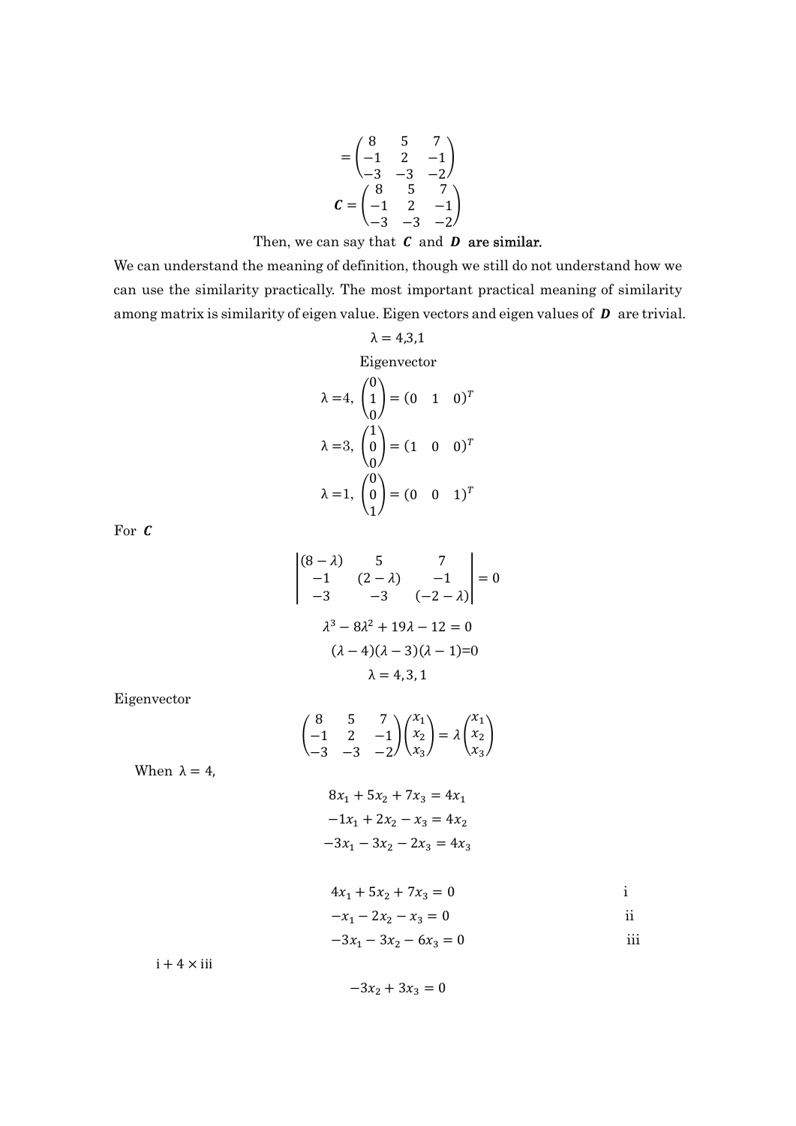$$
= \begin{pmatrix} 8 & 5 & 7 \\ -1 & 2 & -1 \\ -3 & -3 & -2 \end{pmatrix}
$$
  

$$
\mathbf{C} = \begin{pmatrix} 8 & 5 & 7 \\ -1 & 2 & -1 \\ -3 & -3 & -2 \end{pmatrix}
$$

Then, we can say that 
$$
C
$$
 and  $D$  are similar.

We can understand the meaning of definition, though we still do not understand how we can use the similarity practically. The most important practical meaning of similarity among matrix is similarity of eigen value. Eigen vectors and eigen values of  $\bm{D}$  are trivial.

$$
λ = 4,3,1
$$
  
Eigenvector  
 $λ = 4$ ,  $\begin{pmatrix} 0 \\ 1 \\ 0 \end{pmatrix} = (0 \t 1 \t 0)^T$   
 $λ = 3$ ,  $\begin{pmatrix} 1 \\ 0 \\ 0 \end{pmatrix} = (1 \t 0 \t 0)^T$   
 $λ = 1$ ,  $\begin{pmatrix} 0 \\ 0 \\ 1 \end{pmatrix} = (0 \t 0 \t 1)^T$ 

For  $\pmb{\mathcal{C}}$ 

$$
\begin{vmatrix}\n(8-\lambda) & 5 & 7 \\
-1 & (2-\lambda) & -1 \\
-3 & -3 & (-2-\lambda)\n\end{vmatrix} = 0
$$
\n
$$
\lambda^3 - 8\lambda^2 + 19\lambda - 12 = 0
$$
\n
$$
(\lambda - 4)(\lambda - 3)(\lambda - 1) = 0
$$
\n
$$
\lambda = 4, 3, 1
$$

Eigenvector

$$
\begin{pmatrix} 8 & 5 & 7 \ -1 & 2 & -1 \ -3 & -3 & -2 \ \end{pmatrix} \begin{pmatrix} x_1 \ x_2 \ x_3 \end{pmatrix} = \lambda \begin{pmatrix} x_1 \ x_2 \ x_3 \end{pmatrix}
$$

When  $\lambda = 4$ ,

$$
8x1 + 5x2 + 7x3 = 4x1
$$

$$
-1x1 + 2x2 - x3 = 4x2
$$

$$
-3x1 - 3x2 - 2x3 = 4x3
$$

$$
4x_1 + 5x_2 + 7x_3 = 0
$$
 i

$$
-x_1 - 2x_2 - x_3 = 0
$$
ii

$$
-3x_1 - 3x_2 - 6x_3 = 0
$$
 iii

 $i + 4 \times ii$ 

 $-3x_2 + 3x_3 = 0$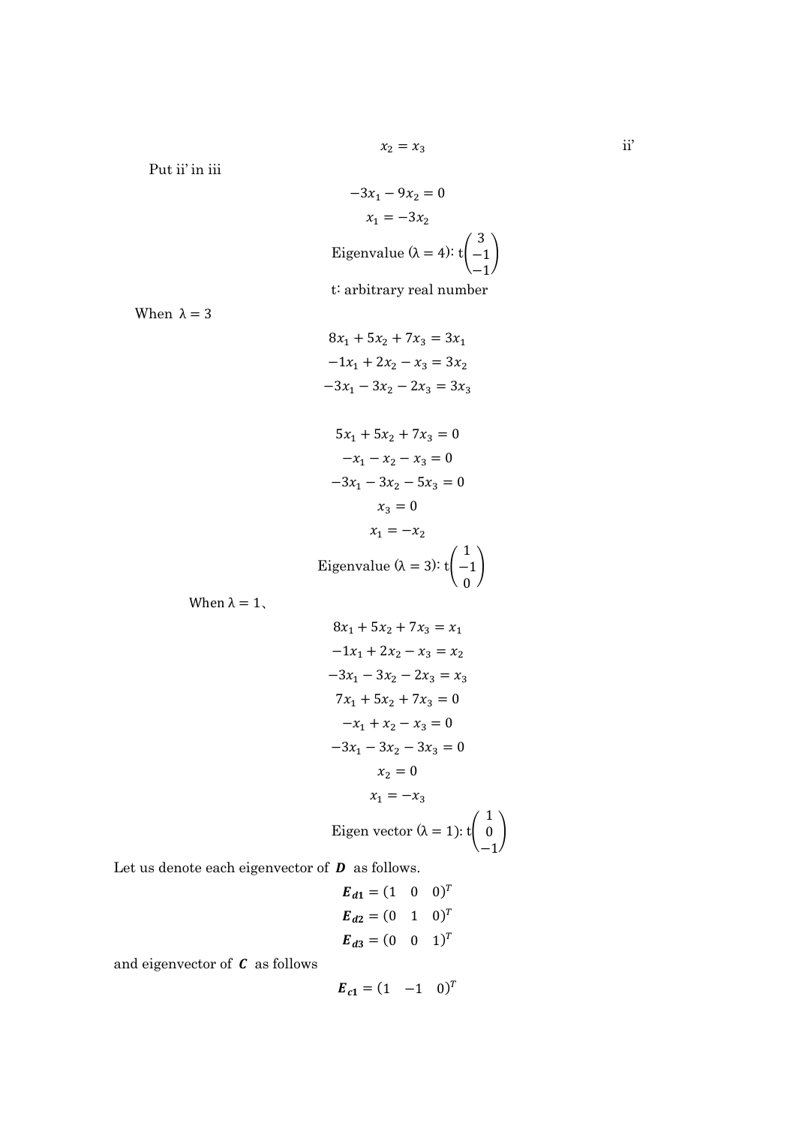Put ii' in iii

$$
-3x_1 - 9x_2 = 0
$$

$$
x_1 = -3x_2
$$
  
Eigenvalue ( $\lambda = 4$ ):  $t\begin{pmatrix} 3 \\ -1 \\ -1 \end{pmatrix}$  $t$ : arbitrary real number

When  $\lambda = 3$ 

 $8x_1 + 5x_2 + 7x_3 = 3x_1$  $-1x_1 + 2x_2 - x_3 = 3x_2$  $-3x_1 - 3x_2 - 2x_3 = 3x_3$ 

$$
5x_1 + 5x_2 + 7x_3 = 0
$$
  
\n
$$
-x_1 - x_2 - x_3 = 0
$$
  
\n
$$
-3x_1 - 3x_2 - 5x_3 = 0
$$
  
\n
$$
x_3 = 0
$$
  
\n
$$
x_1 = -x_2
$$
  
\nEigenvalue ( $\lambda = 3$ ):  $t\begin{pmatrix} 1 \\ -1 \\ 0 \end{pmatrix}$ 

When  $\lambda = 1$ ,

$$
8x_1 + 5x_2 + 7x_3 = x_1
$$
  
\n
$$
-1x_1 + 2x_2 - x_3 = x_2
$$
  
\n
$$
-3x_1 - 3x_2 - 2x_3 = x_3
$$
  
\n
$$
7x_1 + 5x_2 + 7x_3 = 0
$$
  
\n
$$
-x_1 + x_2 - x_3 = 0
$$
  
\n
$$
-3x_1 - 3x_2 - 3x_3 = 0
$$
  
\n
$$
x_2 = 0
$$
  
\n
$$
x_1 = -x_3
$$
  
\nEigen vector  $(\lambda = 1)$ : t  $\begin{pmatrix} 1 \\ 0 \\ -1 \end{pmatrix}$ 

 $\overline{1}$ 

Let us denote each eigenvector of  $D$  as follows.

$$
E_{d1} = (1 \ 0 \ 0)^{T}
$$
  
\n
$$
E_{d2} = (0 \ 1 \ 0)^{T}
$$
  
\n
$$
E_{d3} = (0 \ 0 \ 1)^{T}
$$

and eigenvector of  $C$  as follows

$$
\boldsymbol{E}_{c1} = (1 \quad -1 \quad 0)^T
$$